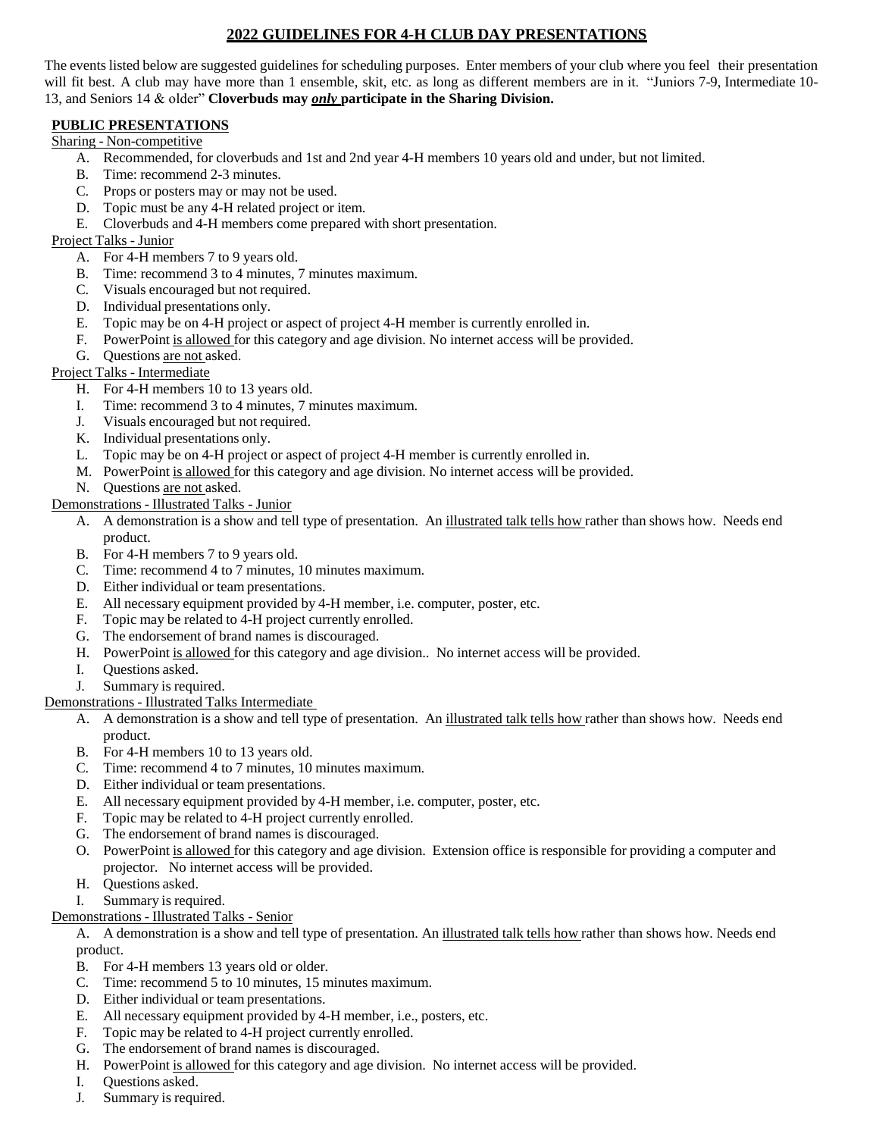# **2022 GUIDELINES FOR 4-H CLUB DAY PRESENTATIONS**

The events listed below are suggested guidelines for scheduling purposes. Enter members of your club where you feel their presentation will fit best. A club may have more than 1 ensemble, skit, etc. as long as different members are in it. "Juniors 7-9, Intermediate 10- 13, and Seniors 14 & older" **Cloverbuds may** *only* **participate in the Sharing Division.**

# **PUBLIC PRESENTATIONS**

## Sharing - Non-competitive

- A. Recommended, for cloverbuds and 1st and 2nd year 4-H members 10 years old and under, but not limited.
- B. Time: recommend 2-3 minutes.
- C. Props or posters may or may not be used.
- D. Topic must be any 4-H related project or item.
- E. Cloverbuds and 4-H members come prepared with short presentation.

#### Project Talks - Junior

- A. For 4-H members 7 to 9 years old.
- B. Time: recommend 3 to 4 minutes, 7 minutes maximum.
- C. Visuals encouraged but not required.
- D. Individual presentations only.
- E. Topic may be on 4-H project or aspect of project 4-H member is currently enrolled in.
- F. PowerPoint is allowed for this category and age division. No internet access will be provided.
- G. Questions are not asked.

# Project Talks - Intermediate

- H. For 4-H members 10 to 13 years old.
- I. Time: recommend 3 to 4 minutes, 7 minutes maximum.
- J. Visuals encouraged but not required.
- K. Individual presentations only.
- L. Topic may be on 4-H project or aspect of project 4-H member is currently enrolled in.
- M. PowerPoint is allowed for this category and age division. No internet access will be provided.
- N. Questions are not asked.

### Demonstrations - Illustrated Talks - Junior

- A. A demonstration is a show and tell type of presentation. An illustrated talk tells how rather than shows how. Needs end product.
- B. For 4-H members 7 to 9 years old.
- C. Time: recommend 4 to 7 minutes, 10 minutes maximum.
- D. Either individual or team presentations.
- E. All necessary equipment provided by 4-H member, i.e. computer, poster, etc.
- F. Topic may be related to 4-H project currently enrolled.
- G. The endorsement of brand names is discouraged.
- H. PowerPoint is allowed for this category and age division.. No internet access will be provided.
- I. Questions asked.
- J. Summary is required.

# Demonstrations - Illustrated Talks Intermediate

- A. A demonstration is a show and tell type of presentation. An illustrated talk tells how rather than shows how. Needs end product.
- B. For 4-H members 10 to 13 years old.
- C. Time: recommend 4 to 7 minutes, 10 minutes maximum.
- D. Either individual or team presentations.
- E. All necessary equipment provided by 4-H member, i.e. computer, poster, etc.
- F. Topic may be related to 4-H project currently enrolled.
- G. The endorsement of brand names is discouraged.
- O. PowerPoint is allowed for this category and age division. Extension office is responsible for providing a computer and projector. No internet access will be provided.
- H. Questions asked.
- I. Summary is required.
- Demonstrations Illustrated Talks Senior
	- A. A demonstration is a show and tell type of presentation. An illustrated talk tells how rather than shows how. Needs end product.
	- B. For 4-H members 13 years old or older.
	- C. Time: recommend 5 to 10 minutes, 15 minutes maximum.
	- D. Either individual or team presentations.
	- E. All necessary equipment provided by 4-H member, i.e., posters, etc.
	- F. Topic may be related to 4-H project currently enrolled.
	- G. The endorsement of brand names is discouraged.
	- H. PowerPoint is allowed for this category and age division. No internet access will be provided.
	- I. Questions asked.
	- J. Summary is required.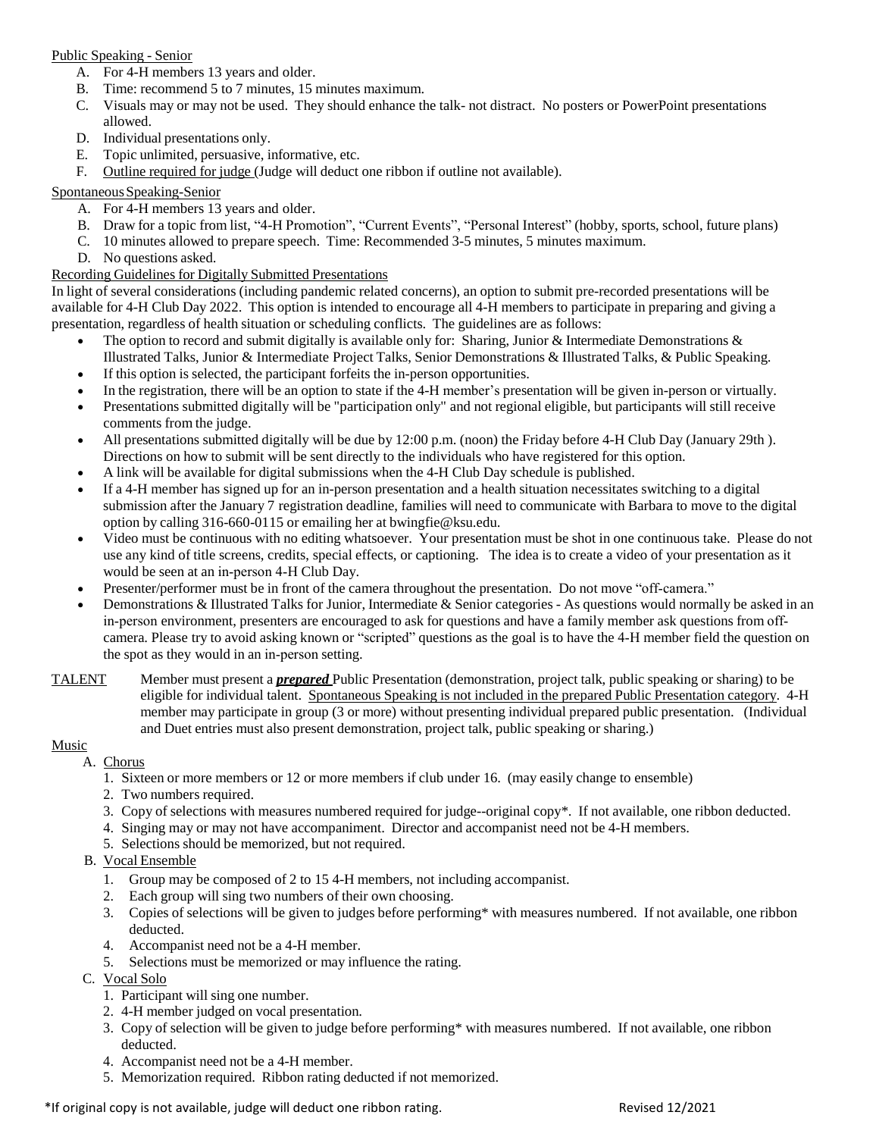## Public Speaking - Senior

- A. For 4-H members 13 years and older.
- B. Time: recommend 5 to 7 minutes, 15 minutes maximum.
- C. Visuals may or may not be used. They should enhance the talk- not distract. No posters or PowerPoint presentations allowed.
- D. Individual presentations only.
- E. Topic unlimited, persuasive, informative, etc.
- F. Outline required for judge (Judge will deduct one ribbon if outline not available).

### SpontaneousSpeaking-Senior

- A. For 4-H members 13 years and older.
- B. Draw for a topic from list, "4-H Promotion", "Current Events", "Personal Interest" (hobby, sports, school, future plans)
- C. 10 minutes allowed to prepare speech. Time: Recommended 3-5 minutes, 5 minutes maximum.
- D. No questions asked.

### Recording Guidelines for Digitally Submitted Presentations

In light of several considerations (including pandemic related concerns), an option to submit pre-recorded presentations will be available for 4-H Club Day 2022. This option is intended to encourage all 4-H members to participate in preparing and giving a presentation, regardless of health situation or scheduling conflicts. The guidelines are as follows:

- The option to record and submit digitally is available only for: Sharing, Junior & Intermediate Demonstrations & Illustrated Talks, Junior & Intermediate Project Talks, Senior Demonstrations & Illustrated Talks, & Public Speaking.
- If this option is selected, the participant forfeits the in-person opportunities.
- In the registration, there will be an option to state if the 4-H member's presentation will be given in-person or virtually.
- Presentations submitted digitally will be "participation only" and not regional eligible, but participants will still receive comments from the judge.
- All presentations submitted digitally will be due by 12:00 p.m. (noon) the Friday before 4-H Club Day (January 29th ). Directions on how to submit will be sent directly to the individuals who have registered for this option.
- A link will be available for digital submissions when the 4-H Club Day schedule is published.
- If a 4-H member has signed up for an in-person presentation and a health situation necessitates switching to a digital submission after the January 7 registration deadline, families will need to communicate with Barbara to move to the digital option by calling 316-660-0115 or emailing her at [bwingfie@ksu.edu.](mailto:bwingfie@ksu.edu)
- Video must be continuous with no editing whatsoever. Your presentation must be shot in one continuous take. Please do not use any kind of title screens, credits, special effects, or captioning. The idea is to create a video of your presentation as it would be seen at an in‐person 4‐H Club Day.
- Presenter/performer must be in front of the camera throughout the presentation. Do not move "off-camera."
- Demonstrations & Illustrated Talks for Junior, Intermediate & Senior categories As questions would normally be asked in an in-person environment, presenters are encouraged to ask for questions and have a family member ask questions from offcamera. Please try to avoid asking known or "scripted" questions as the goal is to have the 4‐H member field the question on the spot as they would in an in‐person setting.
- TALENT Member must present a *prepared* Public Presentation (demonstration, project talk, public speaking or sharing) to be eligible for individual talent. Spontaneous Speaking is not included in the prepared Public Presentation category. 4-H member may participate in group (3 or more) without presenting individual prepared public presentation. (Individual and Duet entries must also present demonstration, project talk, public speaking or sharing.)

#### Music

- A. Chorus
	- 1. Sixteen or more members or 12 or more members if club under 16. (may easily change to ensemble)
	- 2. Two numbers required.
	- 3. Copy of selections with measures numbered required for judge--original copy\*. If not available, one ribbon deducted.
	- 4. Singing may or may not have accompaniment. Director and accompanist need not be 4-H members.
	- 5. Selections should be memorized, but not required.
- B. Vocal Ensemble
	- 1. Group may be composed of 2 to 15 4-H members, not including accompanist.
	- 2. Each group will sing two numbers of their own choosing.
	- 3. Copies of selections will be given to judges before performing\* with measures numbered. If not available, one ribbon deducted.
	- 4. Accompanist need not be a 4-H member.
	- 5. Selections must be memorized or may influence the rating.
- C. Vocal Solo
	- 1. Participant will sing one number.
	- 2. 4-H member judged on vocal presentation.
	- 3. Copy of selection will be given to judge before performing\* with measures numbered. If not available, one ribbon deducted.
	- 4. Accompanist need not be a 4-H member.
	- 5. Memorization required. Ribbon rating deducted if not memorized.